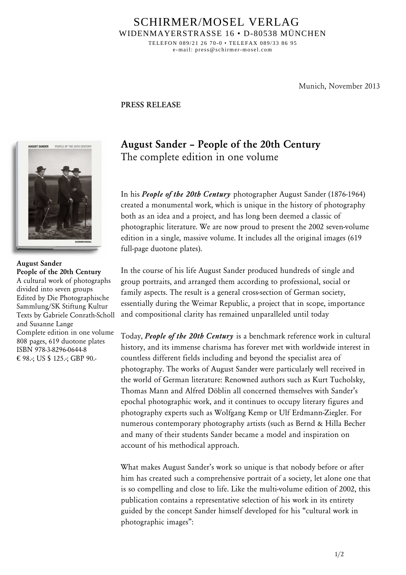### SCHIRMER/MOSEL VERLAG WIDENMAYERSTRASSE 16 • D-80538 MÜNCHEN TELEFON 089/21 26 70-0 • TELEFAX 089/33 86 95

e-mail: press@schirmer-mosel.com

Munich, November 2013

#### **PRESS RELEASE**



**August Sander People of the 20th Century** A cultural work of photographs divided into seven groups Edited by Die Photographische Sammlung/SK Stiftung Kultur Texts by Gabriele Conrath-Scholl and Susanne Lange Complete edition in one volume 808 pages, 619 duotone plates ISBN 978-3-8296-0644-8 € 98.-; US \$ 125.-; GBP 90.-

# **August Sander – People of the 20th Century**  The complete edition in one volume

In his *People of the 20th Century* photographer August Sander (1876-1964) created a monumental work, which is unique in the history of photography both as an idea and a project, and has long been deemed a classic of photographic literature. We are now proud to present the 2002 seven-volume edition in a single, massive volume. It includes all the original images (619 full-page duotone plates).

In the course of his life August Sander produced hundreds of single and group portraits, and arranged them according to professional, social or family aspects. The result is a general cross-section of German society, essentially during the Weimar Republic, a project that in scope, importance and compositional clarity has remained unparalleled until today

Today, *People of the 20th Century* is a benchmark reference work in cultural history, and its immense charisma has forever met with worldwide interest in countless different fields including and beyond the specialist area of photography. The works of August Sander were particularly well received in the world of German literature: Renowned authors such as Kurt Tucholsky, Thomas Mann and Alfred Döblin all concerned themselves with Sander's epochal photographic work, and it continues to occupy literary figures and photography experts such as Wolfgang Kemp or Ulf Erdmann-Ziegler. For numerous contemporary photography artists (such as Bernd & Hilla Becher and many of their students Sander became a model and inspiration on account of his methodical approach.

What makes August Sander's work so unique is that nobody before or after him has created such a comprehensive portrait of a society, let alone one that is so compelling and close to life. Like the multi-volume edition of 2002, this publication contains a representative selection of his work in its entirety guided by the concept Sander himself developed for his "cultural work in photographic images":